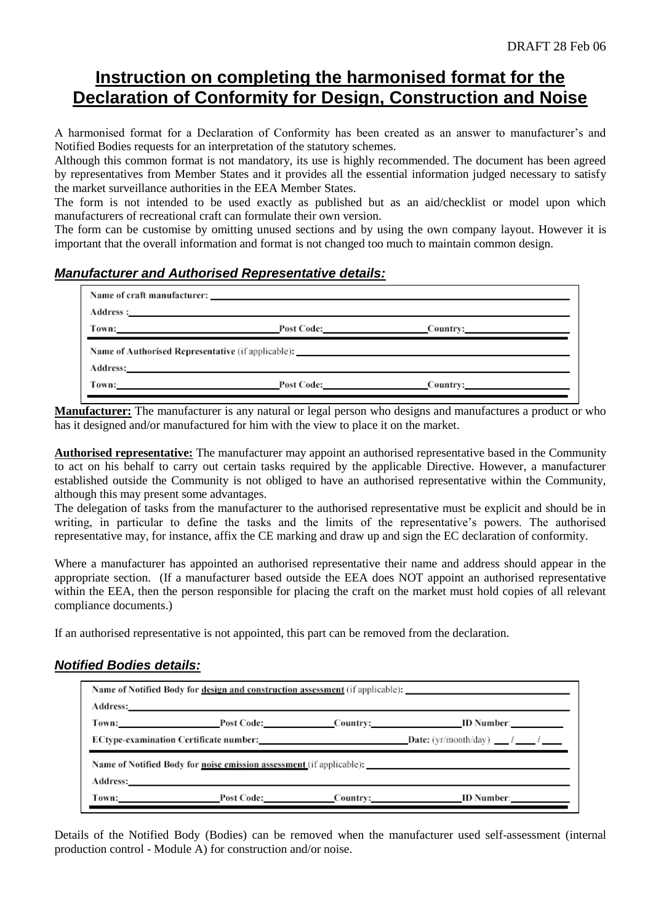# **Instruction on completing the harmonised format for the Declaration of Conformity for Design, Construction and Noise**

A harmonised format for a Declaration of Conformity has been created as an answer to manufacturer's and Notified Bodies requests for an interpretation of the statutory schemes.

Although this common format is not mandatory, its use is highly recommended. The document has been agreed by representatives from Member States and it provides all the essential information judged necessary to satisfy the market surveillance authorities in the EEA Member States.

The form is not intended to be used exactly as published but as an aid/checklist or model upon which manufacturers of recreational craft can formulate their own version.

The form can be customise by omitting unused sections and by using the own company layout. However it is important that the overall information and format is not changed too much to maintain common design.

## *Manufacturer and Authorised Representative details:*

|                                                                                   | Name of craft manufacturer: |                         |  |  |  |
|-----------------------------------------------------------------------------------|-----------------------------|-------------------------|--|--|--|
|                                                                                   |                             |                         |  |  |  |
|                                                                                   | Town: Post Code: Country:   |                         |  |  |  |
| Name of Authorised Representative (if applicable): ______________________________ |                             |                         |  |  |  |
|                                                                                   |                             |                         |  |  |  |
|                                                                                   | Town: Post Code:            | Country: 2008 2012 2022 |  |  |  |

**Manufacturer:** The manufacturer is any natural or legal person who designs and manufactures a product or who has it designed and/or manufactured for him with the view to place it on the market.

**Authorised representative:** The manufacturer may appoint an authorised representative based in the Community to act on his behalf to carry out certain tasks required by the applicable Directive. However, a manufacturer established outside the Community is not obliged to have an authorised representative within the Community, although this may present some advantages.

The delegation of tasks from the manufacturer to the authorised representative must be explicit and should be in writing, in particular to define the tasks and the limits of the representative's powers. The authorised representative may, for instance, affix the CE marking and draw up and sign the EC declaration of conformity.

Where a manufacturer has appointed an authorised representative their name and address should appear in the appropriate section. (If a manufacturer based outside the EEA does NOT appoint an authorised representative within the EEA, then the person responsible for placing the craft on the market must hold copies of all relevant compliance documents.)

If an authorised representative is not appointed, this part can be removed from the declaration.

### *Notified Bodies details:*

| Name of Notified Body for design and construction assessment (if applicable):                                                                                                                                                  |  |  |                                                                             |  |  |
|--------------------------------------------------------------------------------------------------------------------------------------------------------------------------------------------------------------------------------|--|--|-----------------------------------------------------------------------------|--|--|
| Address: Andreas Address: Address: Address: Address: Address: Address: Address: Address: Address: Address: Address: Address: Address: Address: Address: Address: Address: Address: Address: Address: Address: Address: Address |  |  |                                                                             |  |  |
|                                                                                                                                                                                                                                |  |  | Town: Post Code: Country: ID Number:                                        |  |  |
|                                                                                                                                                                                                                                |  |  | <b>ECtype-examination Certificate number:</b> Date: (yr/month/day) $\qquad$ |  |  |
| Name of Notified Body for <u>noise emission assessment</u> (if applicable):                                                                                                                                                    |  |  |                                                                             |  |  |
| Address: No. 2014 19:30 and 20:30 and 20:30 and 20:30 and 20:30 and 20:30 and 20:30 and 20:30 and 20:30 and 20:30 and 20:30 and 20:30 and 20:30 and 20:30 and 20:30 and 20:30 and 20:30 and 20:30 and 20:30 and 20:30 and 20:3 |  |  |                                                                             |  |  |
|                                                                                                                                                                                                                                |  |  | Town: Post Code: Country: ID Number:                                        |  |  |

Details of the Notified Body (Bodies) can be removed when the manufacturer used self-assessment (internal production control - Module A) for construction and/or noise.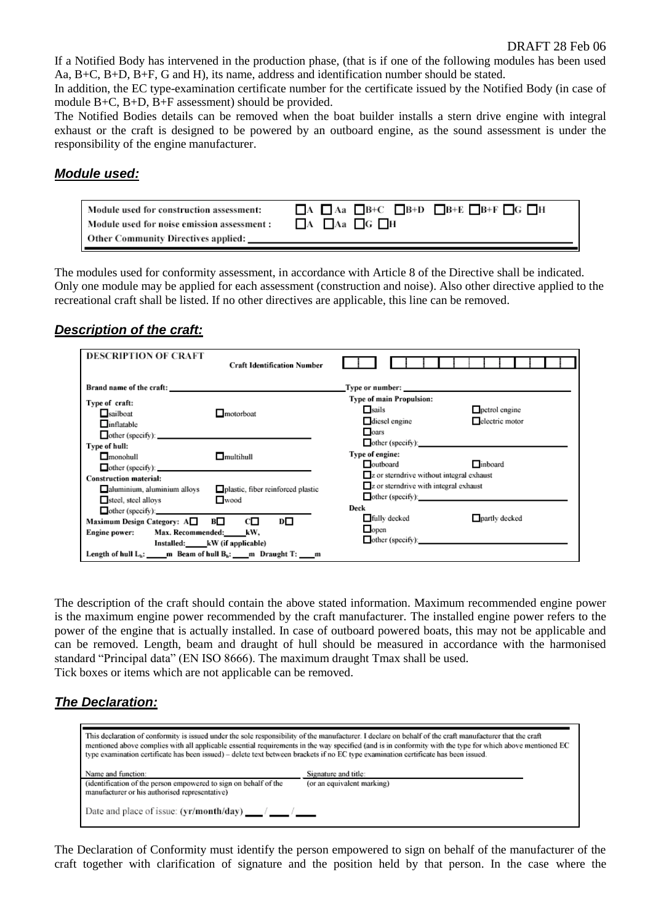If a Notified Body has intervened in the production phase, (that is if one of the following modules has been used Aa, B+C, B+D, B+F, G and H), its name, address and identification number should be stated.

In addition, the EC type-examination certificate number for the certificate issued by the Notified Body (in case of module B+C, B+D, B+F assessment) should be provided.

The Notified Bodies details can be removed when the boat builder installs a stern drive engine with integral exhaust or the craft is designed to be powered by an outboard engine, as the sound assessment is under the responsibility of the engine manufacturer.

#### *Module used:*

| Module used for construction assessment:    | $A \Box$ Aa $\Box$ B+C $\Box$ B+D $\Box$ B+E $\Box$ B+F $\Box$ G $\Box$ H |
|---------------------------------------------|---------------------------------------------------------------------------|
| Module used for noise emission assessment : | $\Box$ A $\Box$ Aa $\Box$ G $\Box$ H                                      |
| <b>Other Community Directives applied:</b>  |                                                                           |

The modules used for conformity assessment, in accordance with Article 8 of the Directive shall be indicated. Only one module may be applied for each assessment (construction and noise). Also other directive applied to the recreational craft shall be listed. If no other directives are applicable, this line can be removed.

## *Description of the craft:*

| <b>DESCRIPTION OF CRAFT</b>                                                                                                                | <b>Craft Identification Number</b>                                 |                                                                                                                                                                                                                                |  |
|--------------------------------------------------------------------------------------------------------------------------------------------|--------------------------------------------------------------------|--------------------------------------------------------------------------------------------------------------------------------------------------------------------------------------------------------------------------------|--|
| Brand name of the craft: example of the craft:                                                                                             |                                                                    | Type or number: the contract of the contract of the contract of the contract of the contract of the contract of the contract of the contract of the contract of the contract of the contract of the contract of the contract o |  |
| Type of craft:<br>$\Box$ sailboat<br>$\Box$ inflatable<br>other (specify):                                                                 | $\Box$ motorboat                                                   | Type of main Propulsion:<br><b>■</b> sails<br>petrol engine<br>electric motor<br>diesel engine<br>oars                                                                                                                         |  |
| Type of hull:<br>$\Box$ monohull<br>other (specify):                                                                                       | $\Box$ multihull                                                   | other (specific):<br>Type of engine:<br>$\Box$ inboard<br>outboard                                                                                                                                                             |  |
| <b>Construction material:</b><br>aluminium, aluminium alloys<br>steel, steel alloys<br>$other (specific)$ :<br>Maximum Design Category: A□ | plastic, fiber reinforced plastic<br>$\Box$ wood<br>В□<br>cП<br>D⊡ | $\Box$ z or sterndrive without integral exhaust<br>z or sterndrive with integral exhaust<br>other (specific):<br>Deck<br>$\Box$ partly decked<br><b>■ fully decked</b>                                                         |  |
| Engine power: Max. Recommended: kW,<br>Length of hull $L_n$ : ______ m Beam of hull $B_n$ : ____ m Draught T: ____ m                       | Installed: kW (if applicable)                                      | $\Box$ open<br>other (specify):                                                                                                                                                                                                |  |

The description of the craft should contain the above stated information. Maximum recommended engine power is the maximum engine power recommended by the craft manufacturer. The installed engine power refers to the power of the engine that is actually installed. In case of outboard powered boats, this may not be applicable and can be removed. Length, beam and draught of hull should be measured in accordance with the harmonised standard "Principal data" (EN ISO 8666). The maximum draught Tmax shall be used. Tick boxes or items which are not applicable can be removed.

## *The Declaration:*

| This declaration of conformity is issued under the sole responsibility of the manufacturer. I declare on behalf of the craft manufacturer that the craft<br>mentioned above complies with all applicable essential requirements in the way specified (and is in conformity with the type for which above mentioned EC<br>type examination certificate has been issued) – delete text between brackets if no EC type examination certificate has been issued. |                                                    |  |  |
|--------------------------------------------------------------------------------------------------------------------------------------------------------------------------------------------------------------------------------------------------------------------------------------------------------------------------------------------------------------------------------------------------------------------------------------------------------------|----------------------------------------------------|--|--|
| Name and function:<br>(identification of the person empowered to sign on behalf of the<br>manufacturer or his authorised representative)                                                                                                                                                                                                                                                                                                                     | Signature and title:<br>(or an equivalent marking) |  |  |
|                                                                                                                                                                                                                                                                                                                                                                                                                                                              |                                                    |  |  |

The Declaration of Conformity must identify the person empowered to sign on behalf of the manufacturer of the craft together with clarification of signature and the position held by that person. In the case where the